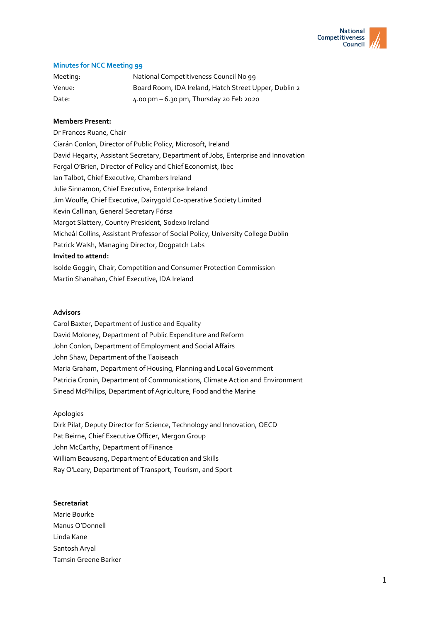

# **Minutes for NCC Meeting 99**

| Meeting: | National Competitiveness Council No 99                |
|----------|-------------------------------------------------------|
| Venue:   | Board Room, IDA Ireland, Hatch Street Upper, Dublin 2 |
| Date:    | 4.00 pm - 6.30 pm, Thursday 20 Feb 2020               |

## **Members Present:**

Dr Frances Ruane, Chair Ciarán Conlon, Director of Public Policy, Microsoft, Ireland David Hegarty, Assistant Secretary, Department of Jobs, Enterprise and Innovation Fergal O'Brien, Director of Policy and Chief Economist, Ibec Ian Talbot, Chief Executive, Chambers Ireland Julie Sinnamon, Chief Executive, Enterprise Ireland Jim Woulfe, Chief Executive, Dairygold Co-operative Society Limited Kevin Callinan, General Secretary Fórsa Margot Slattery, Country President, Sodexo Ireland Micheál Collins, Assistant Professor of Social Policy, University College Dublin Patrick Walsh, Managing Director, Dogpatch Labs **Invited to attend:** Isolde Goggin, Chair, Competition and Consumer Protection Commission Martin Shanahan, Chief Executive, IDA Ireland

### **Advisors**

Carol Baxter, Department of Justice and Equality David Moloney, Department of Public Expenditure and Reform John Conlon, Department of Employment and Social Affairs John Shaw, Department of the Taoiseach Maria Graham, Department of Housing, Planning and Local Government Patricia Cronin, Department of Communications, Climate Action and Environment Sinead McPhilips, Department of Agriculture, Food and the Marine

### Apologies

Dirk Pilat, Deputy Director for Science, Technology and Innovation, OECD Pat Beirne, Chief Executive Officer, Mergon Group John McCarthy, Department of Finance William Beausang, Department of Education and Skills Ray O'Leary, Department of Transport, Tourism, and Sport

#### **Secretariat**

Marie Bourke Manus O'Donnell Linda Kane Santosh Aryal Tamsin Greene Barker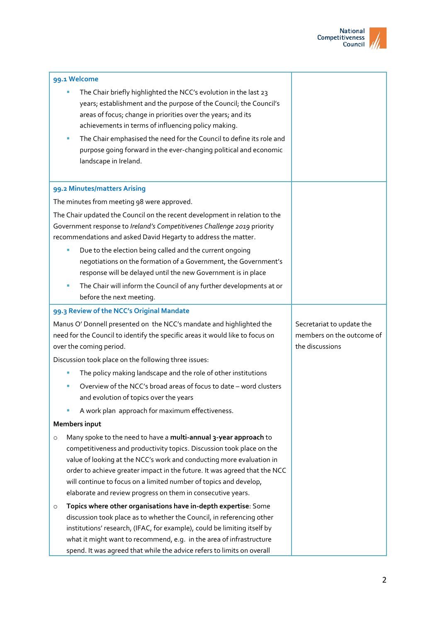

| 99.1 Welcome                                                                                                                                                                                                            |                                                                                                                                                                                                                                                                                                                                                                                                                                    |                                                                           |  |  |
|-------------------------------------------------------------------------------------------------------------------------------------------------------------------------------------------------------------------------|------------------------------------------------------------------------------------------------------------------------------------------------------------------------------------------------------------------------------------------------------------------------------------------------------------------------------------------------------------------------------------------------------------------------------------|---------------------------------------------------------------------------|--|--|
|                                                                                                                                                                                                                         | The Chair briefly highlighted the NCC's evolution in the last 23<br>years; establishment and the purpose of the Council; the Council's<br>areas of focus; change in priorities over the years; and its<br>achievements in terms of influencing policy making.                                                                                                                                                                      |                                                                           |  |  |
|                                                                                                                                                                                                                         | The Chair emphasised the need for the Council to define its role and<br>a,<br>purpose going forward in the ever-changing political and economic<br>landscape in Ireland.                                                                                                                                                                                                                                                           |                                                                           |  |  |
|                                                                                                                                                                                                                         | 99.2 Minutes/matters Arising                                                                                                                                                                                                                                                                                                                                                                                                       |                                                                           |  |  |
| The minutes from meeting 98 were approved.                                                                                                                                                                              |                                                                                                                                                                                                                                                                                                                                                                                                                                    |                                                                           |  |  |
| The Chair updated the Council on the recent development in relation to the<br>Government response to Ireland's Competitivenes Challenge 2019 priority<br>recommendations and asked David Hegarty to address the matter. |                                                                                                                                                                                                                                                                                                                                                                                                                                    |                                                                           |  |  |
|                                                                                                                                                                                                                         | Due to the election being called and the current ongoing<br>negotiations on the formation of a Government, the Government's<br>response will be delayed until the new Government is in place                                                                                                                                                                                                                                       |                                                                           |  |  |
|                                                                                                                                                                                                                         | The Chair will inform the Council of any further developments at or<br>before the next meeting.                                                                                                                                                                                                                                                                                                                                    |                                                                           |  |  |
|                                                                                                                                                                                                                         | 99.3 Review of the NCC's Original Mandate                                                                                                                                                                                                                                                                                                                                                                                          |                                                                           |  |  |
| Manus O' Donnell presented on the NCC's mandate and highlighted the<br>need for the Council to identify the specific areas it would like to focus on<br>over the coming period.                                         |                                                                                                                                                                                                                                                                                                                                                                                                                                    | Secretariat to update the<br>members on the outcome of<br>the discussions |  |  |
|                                                                                                                                                                                                                         | Discussion took place on the following three issues:                                                                                                                                                                                                                                                                                                                                                                               |                                                                           |  |  |
|                                                                                                                                                                                                                         | The policy making landscape and the role of other institutions                                                                                                                                                                                                                                                                                                                                                                     |                                                                           |  |  |
|                                                                                                                                                                                                                         | Overview of the NCC's broad areas of focus to date - word clusters<br>and evolution of topics over the years                                                                                                                                                                                                                                                                                                                       |                                                                           |  |  |
|                                                                                                                                                                                                                         | A work plan approach for maximum effectiveness.                                                                                                                                                                                                                                                                                                                                                                                    |                                                                           |  |  |
|                                                                                                                                                                                                                         | Members input                                                                                                                                                                                                                                                                                                                                                                                                                      |                                                                           |  |  |
| $\circ$                                                                                                                                                                                                                 | Many spoke to the need to have a multi-annual 3-year approach to<br>competitiveness and productivity topics. Discussion took place on the<br>value of looking at the NCC's work and conducting more evaluation in<br>order to achieve greater impact in the future. It was agreed that the NCC<br>will continue to focus on a limited number of topics and develop,<br>elaborate and review progress on them in consecutive years. |                                                                           |  |  |
| $\circ$                                                                                                                                                                                                                 | Topics where other organisations have in-depth expertise: Some<br>discussion took place as to whether the Council, in referencing other<br>institutions' research, (IFAC, for example), could be limiting itself by<br>what it might want to recommend, e.g. in the area of infrastructure<br>spend. It was agreed that while the advice refers to limits on overall                                                               |                                                                           |  |  |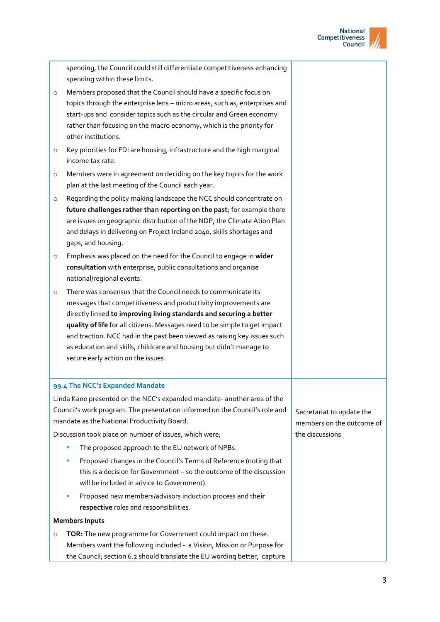

|                                                                                                                                                                                                       | spending, the Council could still differentiate competitiveness enhancing<br>spending within these limits.                                                                                                                                                                                                                                                                                                                                                                                |                                                        |
|-------------------------------------------------------------------------------------------------------------------------------------------------------------------------------------------------------|-------------------------------------------------------------------------------------------------------------------------------------------------------------------------------------------------------------------------------------------------------------------------------------------------------------------------------------------------------------------------------------------------------------------------------------------------------------------------------------------|--------------------------------------------------------|
|                                                                                                                                                                                                       | Members proposed that the Council should have a specific focus on<br>$\circ$<br>topics through the enterprise lens - micro areas, such as, enterprises and<br>start-ups and consider topics such as the circular and Green economy<br>rather than focusing on the macro economy, which is the priority for<br>other institutions.                                                                                                                                                         |                                                        |
|                                                                                                                                                                                                       | Key priorities for FDI are housing, infrastructure and the high marginal<br>$\circ$<br>income tax rate.                                                                                                                                                                                                                                                                                                                                                                                   |                                                        |
|                                                                                                                                                                                                       | Members were in agreement on deciding on the key topics for the work<br>$\circ$<br>plan at the last meeting of the Council each year.                                                                                                                                                                                                                                                                                                                                                     |                                                        |
|                                                                                                                                                                                                       | Regarding the policy making landscape the NCC should concentrate on<br>$\circ$<br>future challenges rather than reporting on the past; for example there<br>are issues on geographic distribution of the NDP, the Climate Ation Plan<br>and delays in delivering on Project Ireland 2040, skills shortages and<br>gaps, and housing.                                                                                                                                                      |                                                        |
|                                                                                                                                                                                                       | Emphasis was placed on the need for the Council to engage in wider<br>$\circ$<br>consultation with enterprise, public consultations and organise<br>national/regional events.                                                                                                                                                                                                                                                                                                             |                                                        |
|                                                                                                                                                                                                       | There was consensus that the Council needs to communicate its<br>$\circ$<br>messages that competitiveness and productivity improvements are<br>directly linked to improving living standards and securing a better<br>quality of life for all citizens. Messages need to be simple to get impact<br>and traction. NCC had in the past been viewed as raising key issues such<br>as education and skills, childcare and housing but didn't manage to<br>secure early action on the issues. |                                                        |
|                                                                                                                                                                                                       | 99.4 The NCC's Expanded Mandate                                                                                                                                                                                                                                                                                                                                                                                                                                                           |                                                        |
| Linda Kane presented on the NCC's expanded mandate- another area of the<br>Council's work program. The presentation informed on the Council's role and<br>mandate as the National Productivity Board. |                                                                                                                                                                                                                                                                                                                                                                                                                                                                                           | Secretariat to update the<br>members on the outcome of |
|                                                                                                                                                                                                       | Discussion took place on number of issues, which were;                                                                                                                                                                                                                                                                                                                                                                                                                                    | the discussions                                        |
|                                                                                                                                                                                                       | The proposed approach to the EU network of NPBs.<br>ш<br>Proposed changes in the Council's Terms of Reference (noting that<br>ш<br>this is a decision for Government - so the outcome of the discussion<br>will be included in advice to Government).                                                                                                                                                                                                                                     |                                                        |
|                                                                                                                                                                                                       | Proposed new members/advisors induction process and their<br>ш<br>respective roles and responsibilities.                                                                                                                                                                                                                                                                                                                                                                                  |                                                        |
|                                                                                                                                                                                                       | <b>Members Inputs</b>                                                                                                                                                                                                                                                                                                                                                                                                                                                                     |                                                        |
|                                                                                                                                                                                                       | TOR: The new programme for Government could impact on these.<br>$\circ$<br>Members want the following included - a Vision, Mission or Purpose for<br>the Council; section 6.2 should translate the EU wording better; capture                                                                                                                                                                                                                                                             |                                                        |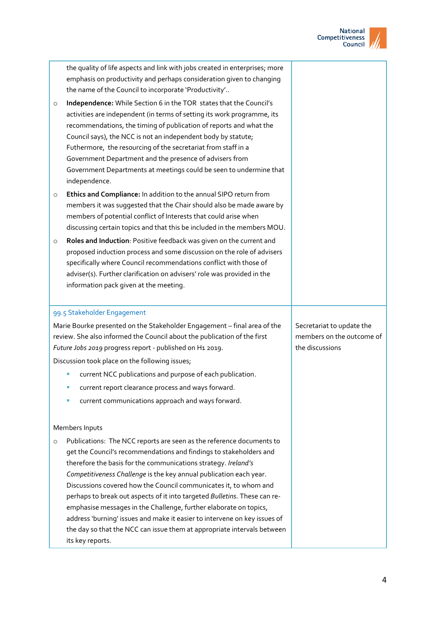

|         | the quality of life aspects and link with jobs created in enterprises; more<br>emphasis on productivity and perhaps consideration given to changing<br>the name of the Council to incorporate 'Productivity'                                                                                                                                                                                                                      |                           |
|---------|-----------------------------------------------------------------------------------------------------------------------------------------------------------------------------------------------------------------------------------------------------------------------------------------------------------------------------------------------------------------------------------------------------------------------------------|---------------------------|
| $\circ$ | Independence: While Section 6 in the TOR states that the Council's                                                                                                                                                                                                                                                                                                                                                                |                           |
|         | activities are independent (in terms of setting its work programme, its<br>recommendations, the timing of publication of reports and what the<br>Council says), the NCC is not an independent body by statute;<br>Futhermore, the resourcing of the secretariat from staff in a<br>Government Department and the presence of advisers from<br>Government Departments at meetings could be seen to undermine that<br>independence. |                           |
| $\circ$ | Ethics and Compliance: In addition to the annual SIPO return from                                                                                                                                                                                                                                                                                                                                                                 |                           |
|         | members it was suggested that the Chair should also be made aware by                                                                                                                                                                                                                                                                                                                                                              |                           |
|         | members of potential conflict of Interests that could arise when                                                                                                                                                                                                                                                                                                                                                                  |                           |
|         | discussing certain topics and that this be included in the members MOU.                                                                                                                                                                                                                                                                                                                                                           |                           |
| $\circ$ | Roles and Induction: Positive feedback was given on the current and<br>proposed induction process and some discussion on the role of advisers                                                                                                                                                                                                                                                                                     |                           |
|         | specifically where Council recommendations conflict with those of                                                                                                                                                                                                                                                                                                                                                                 |                           |
|         | adviser(s). Further clarification on advisers' role was provided in the                                                                                                                                                                                                                                                                                                                                                           |                           |
|         | information pack given at the meeting.                                                                                                                                                                                                                                                                                                                                                                                            |                           |
|         |                                                                                                                                                                                                                                                                                                                                                                                                                                   |                           |
|         |                                                                                                                                                                                                                                                                                                                                                                                                                                   |                           |
|         | 99.5 Stakeholder Engagement                                                                                                                                                                                                                                                                                                                                                                                                       |                           |
|         | Marie Bourke presented on the Stakeholder Engagement - final area of the                                                                                                                                                                                                                                                                                                                                                          | Secretariat to update the |
|         | review. She also informed the Council about the publication of the first                                                                                                                                                                                                                                                                                                                                                          | members on the outcome of |
|         | Future Jobs 2019 progress report - published on H1 2019.                                                                                                                                                                                                                                                                                                                                                                          | the discussions           |
|         | Discussion took place on the following issues;                                                                                                                                                                                                                                                                                                                                                                                    |                           |
|         | current NCC publications and purpose of each publication.                                                                                                                                                                                                                                                                                                                                                                         |                           |
|         | current report clearance process and ways forward.<br>п                                                                                                                                                                                                                                                                                                                                                                           |                           |
|         | current communications approach and ways forward.                                                                                                                                                                                                                                                                                                                                                                                 |                           |
|         | Members Inputs                                                                                                                                                                                                                                                                                                                                                                                                                    |                           |
| $\circ$ | Publications: The NCC reports are seen as the reference documents to                                                                                                                                                                                                                                                                                                                                                              |                           |
|         | get the Council's recommendations and findings to stakeholders and                                                                                                                                                                                                                                                                                                                                                                |                           |
|         | therefore the basis for the communications strategy. Ireland's                                                                                                                                                                                                                                                                                                                                                                    |                           |
|         | Competitiveness Challenge is the key annual publication each year.                                                                                                                                                                                                                                                                                                                                                                |                           |
|         | Discussions covered how the Council communicates it, to whom and                                                                                                                                                                                                                                                                                                                                                                  |                           |
|         | perhaps to break out aspects of it into targeted Bulletins. These can re-<br>emphasise messages in the Challenge, further elaborate on topics,                                                                                                                                                                                                                                                                                    |                           |
|         | address 'burning' issues and make it easier to intervene on key issues of                                                                                                                                                                                                                                                                                                                                                         |                           |
|         | the day so that the NCC can issue them at appropriate intervals between                                                                                                                                                                                                                                                                                                                                                           |                           |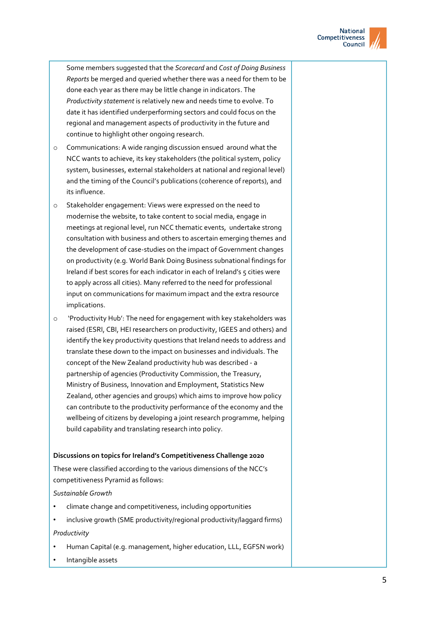

Some members suggested that the *Scorecard* and *Cost of Doing Business Reports* be merged and queried whether there was a need for them to be done each year as there may be little change in indicators. The *Productivity statement* is relatively new and needs time to evolve. To date it has identified underperforming sectors and could focus on the regional and management aspects of productivity in the future and continue to highlight other ongoing research.

- o Communications: A wide ranging discussion ensued around what the NCC wants to achieve, its key stakeholders (the political system, policy system, businesses, external stakeholders at national and regional level) and the timing of the Council's publications (coherence of reports), and its influence.
- o Stakeholder engagement: Views were expressed on the need to modernise the website, to take content to social media, engage in meetings at regional level, run NCC thematic events, undertake strong consultation with business and others to ascertain emerging themes and the development of case-studies on the impact of Government changes on productivity (e.g. World Bank Doing Business subnational findings for Ireland if best scores for each indicator in each of Ireland's 5 cities were to apply across all cities). Many referred to the need for professional input on communications for maximum impact and the extra resource implications.
- o 'Productivity Hub': The need for engagement with key stakeholders was raised (ESRI, CBI, HEI researchers on productivity, IGEES and others) and identify the key productivity questions that Ireland needs to address and translate these down to the impact on businesses and individuals. The concept of the New Zealand productivity hub was described - a partnership of agencies (Productivity Commission, the Treasury, Ministry of Business, Innovation and Employment, Statistics New Zealand, other agencies and groups) which aims to improve how policy can contribute to the productivity performance of the economy and the wellbeing of citizens by developing a joint research programme, helping build capability and translating research into policy.

### **Discussions on topics for Ireland's Competitiveness Challenge 2020**

These were classified according to the various dimensions of the NCC's competitiveness Pyramid as follows:

### *Sustainable Growth*

- climate change and competitiveness, including opportunities
- inclusive growth (SME productivity/regional productivity/laggard firms) *Productivity*
- Human Capital (e.g. management, higher education, LLL, EGFSN work)
- Intangible assets